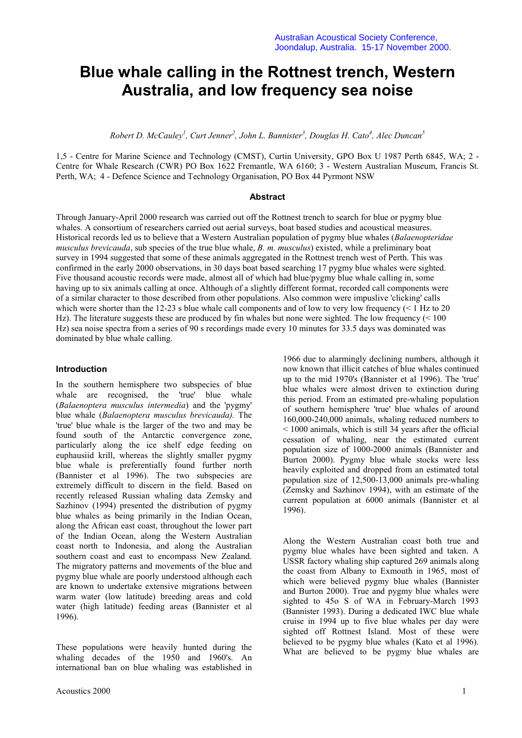# **Blue whale calling in the Rottnest trench, Western Australia, and low frequency sea noise**

*Robert D. McCauley<sup>1</sup> , Curt Jenner2 , John L. Bannister3 , Douglas H. Cato<sup>4</sup> , Alec Duncan<sup>5</sup>*

1,5 - Centre for Marine Science and Technology (CMST), Curtin University, GPO Box U 1987 Perth 6845, WA; 2 - Centre for Whale Research (CWR) PO Box 1622 Fremantle, WA 6160; 3 - Western Australian Museum, Francis St. Perth, WA; 4 - Defence Science and Technology Organisation, PO Box 44 Pyrmont NSW

### **Abstract**

Through January-April 2000 research was carried out off the Rottnest trench to search for blue or pygmy blue whales. A consortium of researchers carried out aerial surveys, boat based studies and acoustical measures. Historical records led us to believe that a Western Australian population of pygmy blue whales (*Balaenopteridae musculus brevicauda*, sub species of the true blue whale, *B. m. musculus*) existed, while a preliminary boat survey in 1994 suggested that some of these animals aggregated in the Rottnest trench west of Perth. This was confirmed in the early 2000 observations, in 30 days boat based searching 17 pygmy blue whales were sighted. Five thousand acoustic records were made, almost all of which had blue/pygmy blue whale calling in, some having up to six animals calling at once. Although of a slightly different format, recorded call components were of a similar character to those described from other populations. Also common were impuslive 'clicking' calls which were shorter than the 12-23 s blue whale call components and of low to very low frequency  $(< 1$  Hz to 20 Hz). The literature suggests these are produced by fin whales but none were sighted. The low frequency (< 100 Hz) sea noise spectra from a series of 90 s recordings made every 10 minutes for 33.5 days was dominated was dominated by blue whale calling.

# **Introduction**

In the southern hemisphere two subspecies of blue whale are recognised, the 'true' blue whale (*Balaenoptera musculus intermedia*) and the 'pygmy' blue whale (*Balaenoptera musculus brevicauda).* The 'true' blue whale is the larger of the two and may be found south of the Antarctic convergence zone, particularly along the ice shelf edge feeding on euphausiid krill, whereas the slightly smaller pygmy blue whale is preferentially found further north (Bannister et al 1996). The two subspecies are extremely difficult to discern in the field. Based on recently released Russian whaling data Zemsky and Sazhinov (1994) presented the distribution of pygmy blue whales as being primarily in the Indian Ocean, along the African east coast, throughout the lower part of the Indian Ocean, along the Western Australian coast north to Indonesia, and along the Australian southern coast and east to encompass New Zealand. The migratory patterns and movements of the blue and pygmy blue whale are poorly understood although each are known to undertake extensive migrations between warm water (low latitude) breeding areas and cold water (high latitude) feeding areas (Bannister et al 1996).

These populations were heavily hunted during the whaling decades of the 1950 and 1960's. An international ban on blue whaling was established in

1966 due to alarmingly declining numbers, although it now known that illicit catches of blue whales continued up to the mid 1970's (Bannister et al 1996). The 'true' blue whales were almost driven to extinction during this period. From an estimated pre-whaling population of southern hemisphere 'true' blue whales of around 160,000-240,000 animals, whaling reduced numbers to < 1000 animals, which is still 34 years after the official cessation of whaling, near the estimated current population size of 1000-2000 animals (Bannister and Burton 2000). Pygmy blue whale stocks were less heavily exploited and dropped from an estimated total population size of 12,500-13,000 animals pre-whaling (Zemsky and Sazhinov 1994), with an estimate of the current population at 6000 animals (Bannister et al 1996).

Along the Western Australian coast both true and pygmy blue whales have been sighted and taken. A USSR factory whaling ship captured 269 animals along the coast from Albany to Exmouth in 1965, most of which were believed pygmy blue whales (Bannister and Burton 2000). True and pygmy blue whales were sighted to 45o S of WA in February-March 1993 (Bannister 1993). During a dedicated IWC blue whale cruise in 1994 up to five blue whales per day were sighted off Rottnest Island. Most of these were believed to be pygmy blue whales (Kato et al 1996). What are believed to be pygmy blue whales are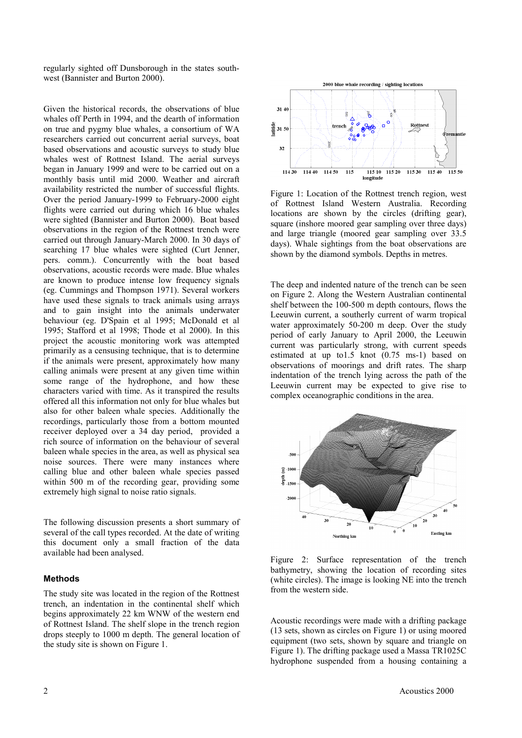regularly sighted off Dunsborough in the states southwest (Bannister and Burton 2000).

Given the historical records, the observations of blue whales off Perth in 1994, and the dearth of information on true and pygmy blue whales, a consortium of WA researchers carried out concurrent aerial surveys, boat based observations and acoustic surveys to study blue whales west of Rottnest Island. The aerial surveys began in January 1999 and were to be carried out on a monthly basis until mid 2000. Weather and aircraft availability restricted the number of successful flights. Over the period January-1999 to February-2000 eight flights were carried out during which 16 blue whales were sighted (Bannister and Burton 2000). Boat based observations in the region of the Rottnest trench were carried out through January-March 2000. In 30 days of searching 17 blue whales were sighted (Curt Jenner, pers. comm.). Concurrently with the boat based observations, acoustic records were made. Blue whales are known to produce intense low frequency signals (eg. Cummings and Thompson 1971). Several workers have used these signals to track animals using arrays and to gain insight into the animals underwater behaviour (eg. D'Spain et al 1995; McDonald et al 1995; Stafford et al 1998; Thode et al 2000). In this project the acoustic monitoring work was attempted primarily as a censusing technique, that is to determine if the animals were present, approximately how many calling animals were present at any given time within some range of the hydrophone, and how these characters varied with time. As it transpired the results offered all this information not only for blue whales but also for other baleen whale species. Additionally the recordings, particularly those from a bottom mounted receiver deployed over a 34 day period, provided a rich source of information on the behaviour of several baleen whale species in the area, as well as physical sea noise sources. There were many instances where calling blue and other baleen whale species passed within 500 m of the recording gear, providing some extremely high signal to noise ratio signals.

The following discussion presents a short summary of several of the call types recorded. At the date of writing this document only a small fraction of the data available had been analysed.

# **Methods**

The study site was located in the region of the Rottnest trench, an indentation in the continental shelf which begins approximately 22 km WNW of the western end of Rottnest Island. The shelf slope in the trench region drops steeply to 1000 m depth. The general location of the study site is shown on Figure 1.



Figure 1: Location of the Rottnest trench region, west of Rottnest Island Western Australia. Recording locations are shown by the circles (drifting gear), square (inshore moored gear sampling over three days) and large triangle (moored gear sampling over 33.5 days). Whale sightings from the boat observations are shown by the diamond symbols. Depths in metres.

The deep and indented nature of the trench can be seen on Figure 2. Along the Western Australian continental shelf between the 100-500 m depth contours, flows the Leeuwin current, a southerly current of warm tropical water approximately 50-200 m deep. Over the study period of early January to April 2000, the Leeuwin current was particularly strong, with current speeds estimated at up to1.5 knot (0.75 ms-1) based on observations of moorings and drift rates. The sharp indentation of the trench lying across the path of the Leeuwin current may be expected to give rise to complex oceanographic conditions in the area.



Figure 2: Surface representation of the trench bathymetry, showing the location of recording sites (white circles). The image is looking NE into the trench from the western side.

Acoustic recordings were made with a drifting package (13 sets, shown as circles on Figure 1) or using moored equipment (two sets, shown by square and triangle on Figure 1). The drifting package used a Massa TR1025C hydrophone suspended from a housing containing a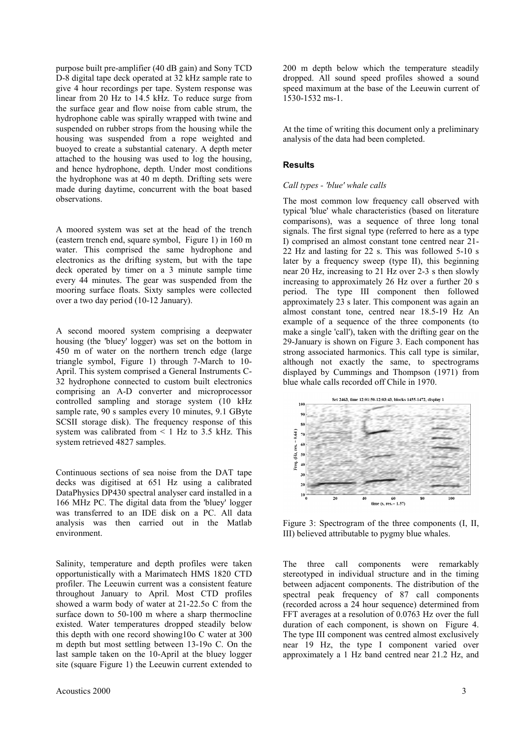purpose built pre-amplifier (40 dB gain) and Sony TCD D-8 digital tape deck operated at 32 kHz sample rate to give 4 hour recordings per tape. System response was linear from 20 Hz to 14.5 kHz. To reduce surge from the surface gear and flow noise from cable strum, the hydrophone cable was spirally wrapped with twine and suspended on rubber strops from the housing while the housing was suspended from a rope weighted and buoyed to create a substantial catenary. A depth meter attached to the housing was used to log the housing, and hence hydrophone, depth. Under most conditions the hydrophone was at 40 m depth. Drifting sets were made during daytime, concurrent with the boat based observations.

A moored system was set at the head of the trench (eastern trench end, square symbol, Figure 1) in 160 m water. This comprised the same hydrophone and electronics as the drifting system, but with the tape deck operated by timer on a 3 minute sample time every 44 minutes. The gear was suspended from the mooring surface floats. Sixty samples were collected over a two day period (10-12 January).

A second moored system comprising a deepwater housing (the 'bluey' logger) was set on the bottom in 450 m of water on the northern trench edge (large triangle symbol, Figure 1) through 7-March to 10- April. This system comprised a General Instruments C-32 hydrophone connected to custom built electronics comprising an A-D converter and microprocessor controlled sampling and storage system (10 kHz sample rate, 90 s samples every 10 minutes, 9.1 GByte SCSII storage disk). The frequency response of this system was calibrated from  $\leq 1$  Hz to 3.5 kHz. This system retrieved 4827 samples.

Continuous sections of sea noise from the DAT tape decks was digitised at 651 Hz using a calibrated DataPhysics DP430 spectral analyser card installed in a 166 MHz PC. The digital data from the 'bluey' logger was transferred to an IDE disk on a PC. All data analysis was then carried out in the Matlab environment.

Salinity, temperature and depth profiles were taken opportunistically with a Marimatech HMS 1820 CTD profiler. The Leeuwin current was a consistent feature throughout January to April. Most CTD profiles showed a warm body of water at 21-22.5o C from the surface down to 50-100 m where a sharp thermocline existed. Water temperatures dropped steadily below this depth with one record showing10o C water at 300 m depth but most settling between 13-19o C. On the last sample taken on the 10-April at the bluey logger site (square Figure 1) the Leeuwin current extended to

200 m depth below which the temperature steadily dropped. All sound speed profiles showed a sound speed maximum at the base of the Leeuwin current of 1530-1532 ms-1.

At the time of writing this document only a preliminary analysis of the data had been completed.

# **Results**

#### *Call types - 'blue' whale calls*

The most common low frequency call observed with typical 'blue' whale characteristics (based on literature comparisons), was a sequence of three long tonal signals. The first signal type (referred to here as a type I) comprised an almost constant tone centred near 21- 22 Hz and lasting for 22 s. This was followed 5-10 s later by a frequency sweep (type II), this beginning near 20 Hz, increasing to 21 Hz over 2-3 s then slowly increasing to approximately 26 Hz over a further 20 s period. The type III component then followed approximately 23 s later. This component was again an almost constant tone, centred near 18.5-19 Hz An example of a sequence of the three components (to make a single 'call'), taken with the drifting gear on the 29-January is shown on Figure 3. Each component has strong associated harmonics. This call type is similar, although not exactly the same, to spectrograms displayed by Cummings and Thompson (1971) from blue whale calls recorded off Chile in 1970.



Figure 3: Spectrogram of the three components (I, II, III) believed attributable to pygmy blue whales.

The three call components were remarkably stereotyped in individual structure and in the timing between adjacent components. The distribution of the spectral peak frequency of 87 call components (recorded across a 24 hour sequence) determined from FFT averages at a resolution of 0.0763 Hz over the full duration of each component, is shown on Figure 4. The type III component was centred almost exclusively near 19 Hz, the type I component varied over approximately a 1 Hz band centred near 21.2 Hz, and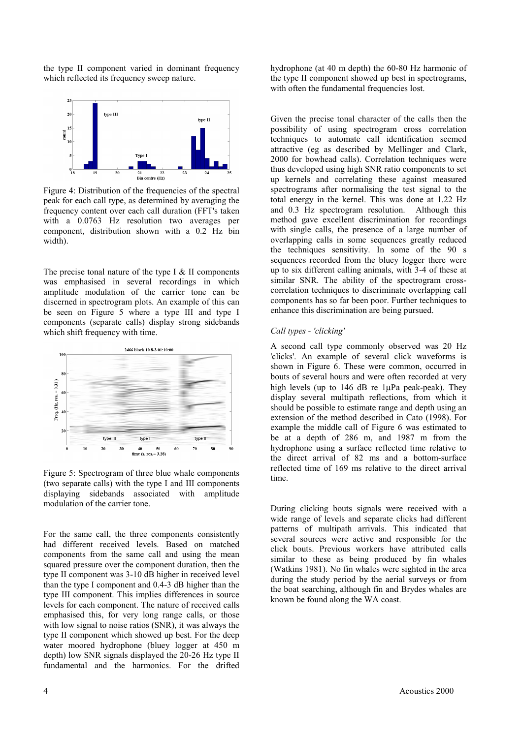the type II component varied in dominant frequency which reflected its frequency sweep nature.



Figure 4: Distribution of the frequencies of the spectral peak for each call type, as determined by averaging the frequency content over each call duration (FFT's taken with a 0.0763 Hz resolution two averages per component, distribution shown with a 0.2 Hz bin width).

The precise tonal nature of the type I  $&$  II components was emphasised in several recordings in which amplitude modulation of the carrier tone can be discerned in spectrogram plots. An example of this can be seen on Figure 5 where a type III and type I components (separate calls) display strong sidebands which shift frequency with time.



Figure 5: Spectrogram of three blue whale components (two separate calls) with the type I and III components displaying sidebands associated with amplitude modulation of the carrier tone.

For the same call, the three components consistently had different received levels. Based on matched components from the same call and using the mean squared pressure over the component duration, then the type II component was 3-10 dB higher in received level than the type I component and 0.4-3 dB higher than the type III component. This implies differences in source levels for each component. The nature of received calls emphasised this, for very long range calls, or those with low signal to noise ratios (SNR), it was always the type II component which showed up best. For the deep water moored hydrophone (bluey logger at 450 m depth) low SNR signals displayed the 20-26 Hz type II fundamental and the harmonics. For the drifted

hydrophone (at 40 m depth) the 60-80 Hz harmonic of the type II component showed up best in spectrograms, with often the fundamental frequencies lost.

Given the precise tonal character of the calls then the possibility of using spectrogram cross correlation techniques to automate call identification seemed attractive (eg as described by Mellinger and Clark, 2000 for bowhead calls). Correlation techniques were thus developed using high SNR ratio components to set up kernels and correlating these against measured spectrograms after normalising the test signal to the total energy in the kernel. This was done at 1.22 Hz and 0.3 Hz spectrogram resolution. Although this method gave excellent discrimination for recordings with single calls, the presence of a large number of overlapping calls in some sequences greatly reduced the techniques sensitivity. In some of the 90 s sequences recorded from the bluey logger there were up to six different calling animals, with 3-4 of these at similar SNR. The ability of the spectrogram crosscorrelation techniques to discriminate overlapping call components has so far been poor. Further techniques to enhance this discrimination are being pursued.

## *Call types - 'clicking'*

A second call type commonly observed was 20 Hz 'clicks'. An example of several click waveforms is shown in Figure 6. These were common, occurred in bouts of several hours and were often recorded at very high levels (up to 146 dB re 1µPa peak-peak). They display several multipath reflections, from which it should be possible to estimate range and depth using an extension of the method described in Cato (1998). For example the middle call of Figure 6 was estimated to be at a depth of 286 m, and 1987 m from the hydrophone using a surface reflected time relative to the direct arrival of 82 ms and a bottom-surface reflected time of 169 ms relative to the direct arrival time.

During clicking bouts signals were received with a wide range of levels and separate clicks had different patterns of multipath arrivals. This indicated that several sources were active and responsible for the click bouts. Previous workers have attributed calls similar to these as being produced by fin whales (Watkins 1981). No fin whales were sighted in the area during the study period by the aerial surveys or from the boat searching, although fin and Brydes whales are known be found along the WA coast.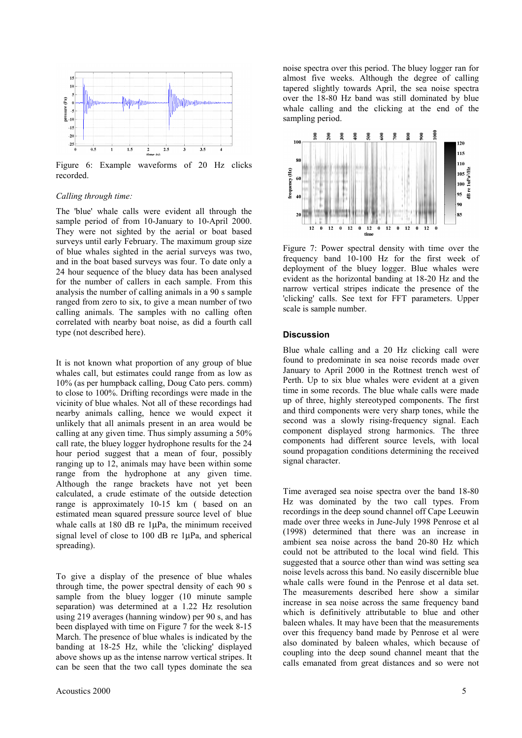

Figure 6: Example waveforms of 20 Hz clicks recorded.

#### *Calling through time:*

The 'blue' whale calls were evident all through the sample period of from 10-January to 10-April 2000. They were not sighted by the aerial or boat based surveys until early February. The maximum group size of blue whales sighted in the aerial surveys was two, and in the boat based surveys was four. To date only a 24 hour sequence of the bluey data has been analysed for the number of callers in each sample. From this analysis the number of calling animals in a 90 s sample ranged from zero to six, to give a mean number of two calling animals. The samples with no calling often correlated with nearby boat noise, as did a fourth call type (not described here).

It is not known what proportion of any group of blue whales call, but estimates could range from as low as 10% (as per humpback calling, Doug Cato pers. comm) to close to 100%. Drifting recordings were made in the vicinity of blue whales. Not all of these recordings had nearby animals calling, hence we would expect it unlikely that all animals present in an area would be calling at any given time. Thus simply assuming a 50% call rate, the bluey logger hydrophone results for the 24 hour period suggest that a mean of four, possibly ranging up to 12, animals may have been within some range from the hydrophone at any given time. Although the range brackets have not yet been calculated, a crude estimate of the outside detection range is approximately 10-15 km ( based on an estimated mean squared pressure source level of blue whale calls at 180 dB re 1µPa, the minimum received signal level of close to 100 dB re 1µPa, and spherical spreading).

To give a display of the presence of blue whales through time, the power spectral density of each 90 s sample from the bluey logger (10 minute sample separation) was determined at a 1.22 Hz resolution using 219 averages (hanning window) per 90 s, and has been displayed with time on Figure 7 for the week 8-15 March. The presence of blue whales is indicated by the banding at 18-25 Hz, while the 'clicking' displayed above shows up as the intense narrow vertical stripes. It can be seen that the two call types dominate the sea

noise spectra over this period. The bluey logger ran for almost five weeks. Although the degree of calling tapered slightly towards April, the sea noise spectra over the 18-80 Hz band was still dominated by blue whale calling and the clicking at the end of the sampling period.



Figure 7: Power spectral density with time over the frequency band 10-100 Hz for the first week of deployment of the bluey logger. Blue whales were evident as the horizontal banding at 18-20 Hz and the narrow vertical stripes indicate the presence of the 'clicking' calls. See text for FFT parameters. Upper scale is sample number.

## **Discussion**

Blue whale calling and a 20 Hz clicking call were found to predominate in sea noise records made over January to April 2000 in the Rottnest trench west of Perth. Up to six blue whales were evident at a given time in some records. The blue whale calls were made up of three, highly stereotyped components. The first and third components were very sharp tones, while the second was a slowly rising-frequency signal. Each component displayed strong harmonics. The three components had different source levels, with local sound propagation conditions determining the received signal character.

Time averaged sea noise spectra over the band 18-80 Hz was dominated by the two call types. From recordings in the deep sound channel off Cape Leeuwin made over three weeks in June-July 1998 Penrose et al (1998) determined that there was an increase in ambient sea noise across the band 20-80 Hz which could not be attributed to the local wind field. This suggested that a source other than wind was setting sea noise levels across this band. No easily discernible blue whale calls were found in the Penrose et al data set. The measurements described here show a similar increase in sea noise across the same frequency band which is definitively attributable to blue and other baleen whales. It may have been that the measurements over this frequency band made by Penrose et al were also dominated by baleen whales, which because of coupling into the deep sound channel meant that the calls emanated from great distances and so were not